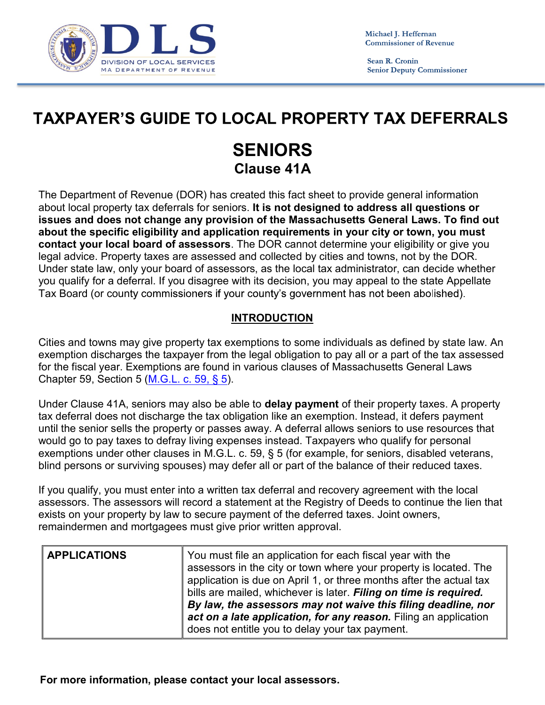

Sean R. Cronin **Senior Deputy Commissioner** 

## TAXPAYER'S GUIDE TO LOCAL PROPERTY TAX DEFERRALS

## SENIORS Clause 41A

The Department of Revenue (DOR) has created this fact sheet to provide general information about local property tax deferrals for seniors. It is not designed to address all questions or issues and does not change any provision of the Massachusetts General Laws. To find out about the specific eligibility and application requirements in your city or town, you must contact your local board of assessors. The DOR cannot determine your eligibility or give you legal advice. Property taxes are assessed and collected by cities and towns, not by the DOR.<br>Under state law, only your board of assessors, as the local tax administrator, can decide whether you qualify for a deferral. If you disagree with its decision, you may appeal to the state Appellate Tax Board (or county commissioners if your county's government has not been abolished).

## INTRODUCTION

Cities and towns may give property tax exemptions to some individuals as defined by state law. An exemption discharges the taxpayer from the legal obligation to pay all or a part of the tax assessed for the fiscal year. Exemptions are found in various clauses of Massachusetts General Laws Chapter 59, Section 5 (<u>M.G.L. c. 59, § 5</u>).<br>Under Clause 41A, seniors may also be able to **delay payment** of their property taxes. A property

tax deferral does not discharge the tax obligation like an exemption. Instead, it defers payment until the senior sells the property or passes away. A deferral allows seniors to use resources that would go to pay taxes to defray living expenses instead. Taxpayers who qualify for personal exemptions under other clauses in M.G.L. c. 59, § 5 (for example, for seniors, disabled veterans, blind persons or surviving spouses) may defer all or part of the balance of their reduced taxes.

If you qualify, you must enter into a written tax deferral and recovery agreement with the local assessors. The assessors will record a statement at the Registry of Deeds to continue the lien that exists on your property by law to secure payment of the deferred taxes. Joint owners, remaindermen and mortgagees must give prior written approval.

| <b>APPLICATIONS</b> | You must file an application for each fiscal year with the<br>assessors in the city or town where your property is located. The<br>application is due on April 1, or three months after the actual tax<br>bills are mailed, whichever is later. Filing on time is required.<br>By law, the assessors may not waive this filing deadline, nor<br>act on a late application, for any reason. Filing an application<br>does not entitle you to delay your tax payment. |  |
|---------------------|---------------------------------------------------------------------------------------------------------------------------------------------------------------------------------------------------------------------------------------------------------------------------------------------------------------------------------------------------------------------------------------------------------------------------------------------------------------------|--|
|---------------------|---------------------------------------------------------------------------------------------------------------------------------------------------------------------------------------------------------------------------------------------------------------------------------------------------------------------------------------------------------------------------------------------------------------------------------------------------------------------|--|

For more information, please contact your local assessors.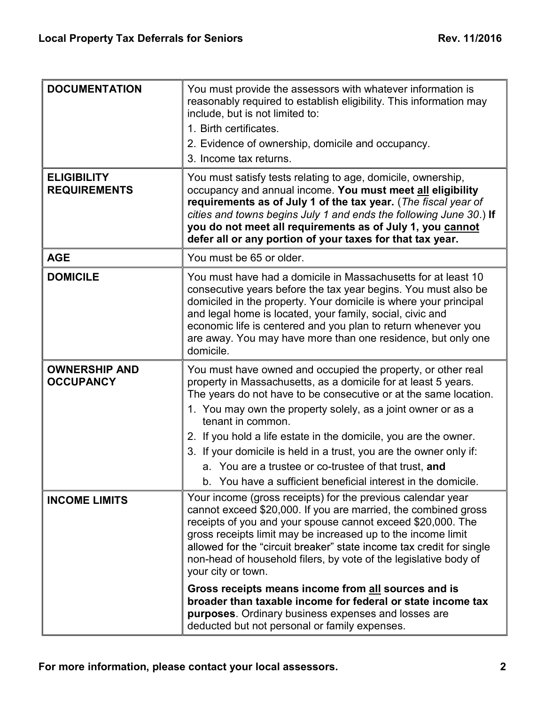| <b>DOCUMENTATION</b>                      | You must provide the assessors with whatever information is<br>reasonably required to establish eligibility. This information may<br>include, but is not limited to:<br>1. Birth certificates.<br>2. Evidence of ownership, domicile and occupancy.<br>3. Income tax returns.                                                                                                                                                                                                                                                                               |
|-------------------------------------------|-------------------------------------------------------------------------------------------------------------------------------------------------------------------------------------------------------------------------------------------------------------------------------------------------------------------------------------------------------------------------------------------------------------------------------------------------------------------------------------------------------------------------------------------------------------|
| <b>ELIGIBILITY</b><br><b>REQUIREMENTS</b> | You must satisfy tests relating to age, domicile, ownership,<br>occupancy and annual income. You must meet all eligibility<br>requirements as of July 1 of the tax year. (The fiscal year of<br>cities and towns begins July 1 and ends the following June 30.) If<br>you do not meet all requirements as of July 1, you cannot<br>defer all or any portion of your taxes for that tax year.                                                                                                                                                                |
| <b>AGE</b>                                | You must be 65 or older.                                                                                                                                                                                                                                                                                                                                                                                                                                                                                                                                    |
| <b>DOMICILE</b>                           | You must have had a domicile in Massachusetts for at least 10<br>consecutive years before the tax year begins. You must also be<br>domiciled in the property. Your domicile is where your principal<br>and legal home is located, your family, social, civic and<br>economic life is centered and you plan to return whenever you<br>are away. You may have more than one residence, but only one<br>domicile.                                                                                                                                              |
| <b>OWNERSHIP AND</b><br><b>OCCUPANCY</b>  | You must have owned and occupied the property, or other real<br>property in Massachusetts, as a domicile for at least 5 years.<br>The years do not have to be consecutive or at the same location.<br>1. You may own the property solely, as a joint owner or as a<br>tenant in common.<br>2. If you hold a life estate in the domicile, you are the owner.<br>3. If your domicile is held in a trust, you are the owner only if:<br>a. You are a trustee or co-trustee of that trust, and<br>b. You have a sufficient beneficial interest in the domicile. |
| <b>INCOME LIMITS</b>                      | Your income (gross receipts) for the previous calendar year<br>cannot exceed \$20,000. If you are married, the combined gross<br>receipts of you and your spouse cannot exceed \$20,000. The<br>gross receipts limit may be increased up to the income limit<br>allowed for the "circuit breaker" state income tax credit for single<br>non-head of household filers, by vote of the legislative body of<br>your city or town.                                                                                                                              |
|                                           | Gross receipts means income from all sources and is<br>broader than taxable income for federal or state income tax<br><b>purposes</b> . Ordinary business expenses and losses are<br>deducted but not personal or family expenses.                                                                                                                                                                                                                                                                                                                          |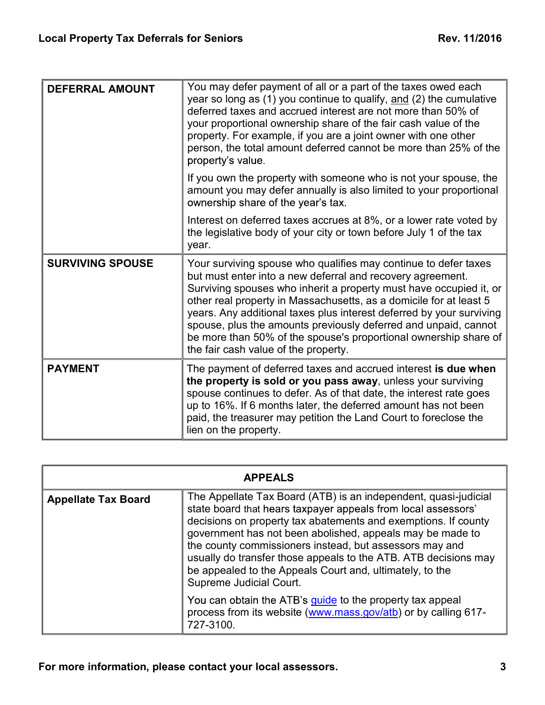| <b>DEFERRAL AMOUNT</b>  | You may defer payment of all or a part of the taxes owed each<br>year so long as (1) you continue to qualify, and (2) the cumulative<br>deferred taxes and accrued interest are not more than 50% of<br>your proportional ownership share of the fair cash value of the<br>property. For example, if you are a joint owner with one other<br>person, the total amount deferred cannot be more than 25% of the<br>property's value                                                                                                |  |
|-------------------------|----------------------------------------------------------------------------------------------------------------------------------------------------------------------------------------------------------------------------------------------------------------------------------------------------------------------------------------------------------------------------------------------------------------------------------------------------------------------------------------------------------------------------------|--|
|                         | If you own the property with someone who is not your spouse, the<br>amount you may defer annually is also limited to your proportional<br>ownership share of the year's tax.                                                                                                                                                                                                                                                                                                                                                     |  |
|                         | Interest on deferred taxes accrues at 8%, or a lower rate voted by<br>the legislative body of your city or town before July 1 of the tax<br>year.                                                                                                                                                                                                                                                                                                                                                                                |  |
| <b>SURVIVING SPOUSE</b> | Your surviving spouse who qualifies may continue to defer taxes<br>but must enter into a new deferral and recovery agreement.<br>Surviving spouses who inherit a property must have occupied it, or<br>other real property in Massachusetts, as a domicile for at least 5<br>years. Any additional taxes plus interest deferred by your surviving<br>spouse, plus the amounts previously deferred and unpaid, cannot<br>be more than 50% of the spouse's proportional ownership share of<br>the fair cash value of the property. |  |
| <b>PAYMENT</b>          | The payment of deferred taxes and accrued interest is due when<br>the property is sold or you pass away, unless your surviving<br>spouse continues to defer. As of that date, the interest rate goes<br>up to 16%. If 6 months later, the deferred amount has not been<br>paid, the treasurer may petition the Land Court to foreclose the<br>lien on the property.                                                                                                                                                              |  |

|                            | <b>APPEALS</b>                                                                                                                                                                                                                                                                                                                                                                                                                                                                       |  |
|----------------------------|--------------------------------------------------------------------------------------------------------------------------------------------------------------------------------------------------------------------------------------------------------------------------------------------------------------------------------------------------------------------------------------------------------------------------------------------------------------------------------------|--|
| <b>Appellate Tax Board</b> | The Appellate Tax Board (ATB) is an independent, quasi-judicial<br>state board that hears taxpayer appeals from local assessors'<br>decisions on property tax abatements and exemptions. If county<br>government has not been abolished, appeals may be made to<br>the county commissioners instead, but assessors may and<br>usually do transfer those appeals to the ATB. ATB decisions may<br>be appealed to the Appeals Court and, ultimately, to the<br>Supreme Judicial Court. |  |
|                            | You can obtain the ATB's guide to the property tax appeal<br>process from its website (www.mass.gov/atb) or by calling 617-<br>727-3100.                                                                                                                                                                                                                                                                                                                                             |  |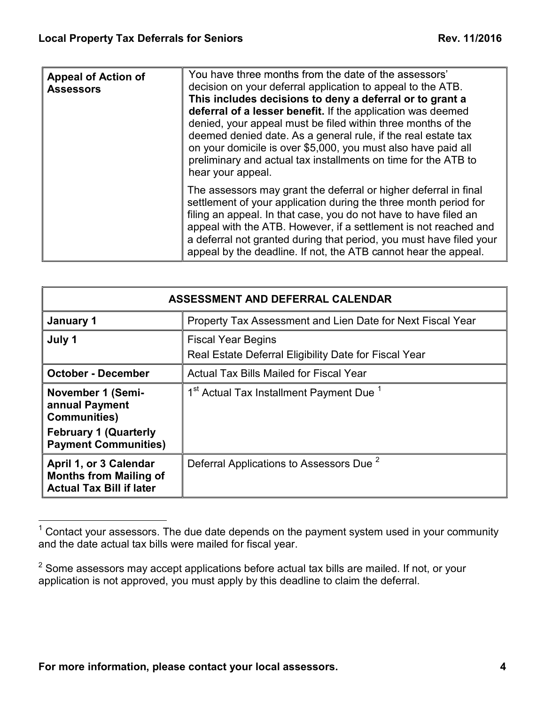| <b>Appeal of Action of</b><br><b>Assessors</b> | You have three months from the date of the assessors'<br>decision on your deferral application to appeal to the ATB.<br>This includes decisions to deny a deferral or to grant a<br>deferral of a lesser benefit. If the application was deemed<br>denied, your appeal must be filed within three months of the<br>deemed denied date. As a general rule, if the real estate tax<br>on your domicile is over \$5,000, you must also have paid all<br>preliminary and actual tax installments on time for the ATB to<br>hear your appeal. |  |
|------------------------------------------------|------------------------------------------------------------------------------------------------------------------------------------------------------------------------------------------------------------------------------------------------------------------------------------------------------------------------------------------------------------------------------------------------------------------------------------------------------------------------------------------------------------------------------------------|--|
|                                                | The assessors may grant the deferral or higher deferral in final<br>settlement of your application during the three month period for<br>filing an appeal. In that case, you do not have to have filed an<br>appeal with the ATB. However, if a settlement is not reached and<br>a deferral not granted during that period, you must have filed your<br>appeal by the deadline. If not, the ATB cannot hear the appeal.                                                                                                                   |  |

| ASSESSMENT AND DEFERRAL CALENDAR                                                           |                                                                                    |  |
|--------------------------------------------------------------------------------------------|------------------------------------------------------------------------------------|--|
| January 1                                                                                  | Property Tax Assessment and Lien Date for Next Fiscal Year                         |  |
| July 1                                                                                     | <b>Fiscal Year Begins</b><br>Real Estate Deferral Eligibility Date for Fiscal Year |  |
| <b>October - December</b>                                                                  | Actual Tax Bills Mailed for Fiscal Year                                            |  |
| <b>November 1 (Semi-</b><br>annual Payment<br><b>Communities)</b>                          | 1 <sup>st</sup> Actual Tax Installment Payment Due <sup>1</sup>                    |  |
| <b>February 1 (Quarterly</b><br><b>Payment Communities)</b>                                |                                                                                    |  |
| April 1, or 3 Calendar<br><b>Months from Mailing of</b><br><b>Actual Tax Bill if later</b> | Deferral Applications to Assessors Due <sup>2</sup>                                |  |

 $1$  Contact your assessors. The due date depends on the payment system used in your community and the date actual tax bills were mailed for fiscal year.

 $2$  Some assessors may accept applications before actual tax bills are mailed. If not, or your application is not approved, you must apply by this deadline to claim the deferral.